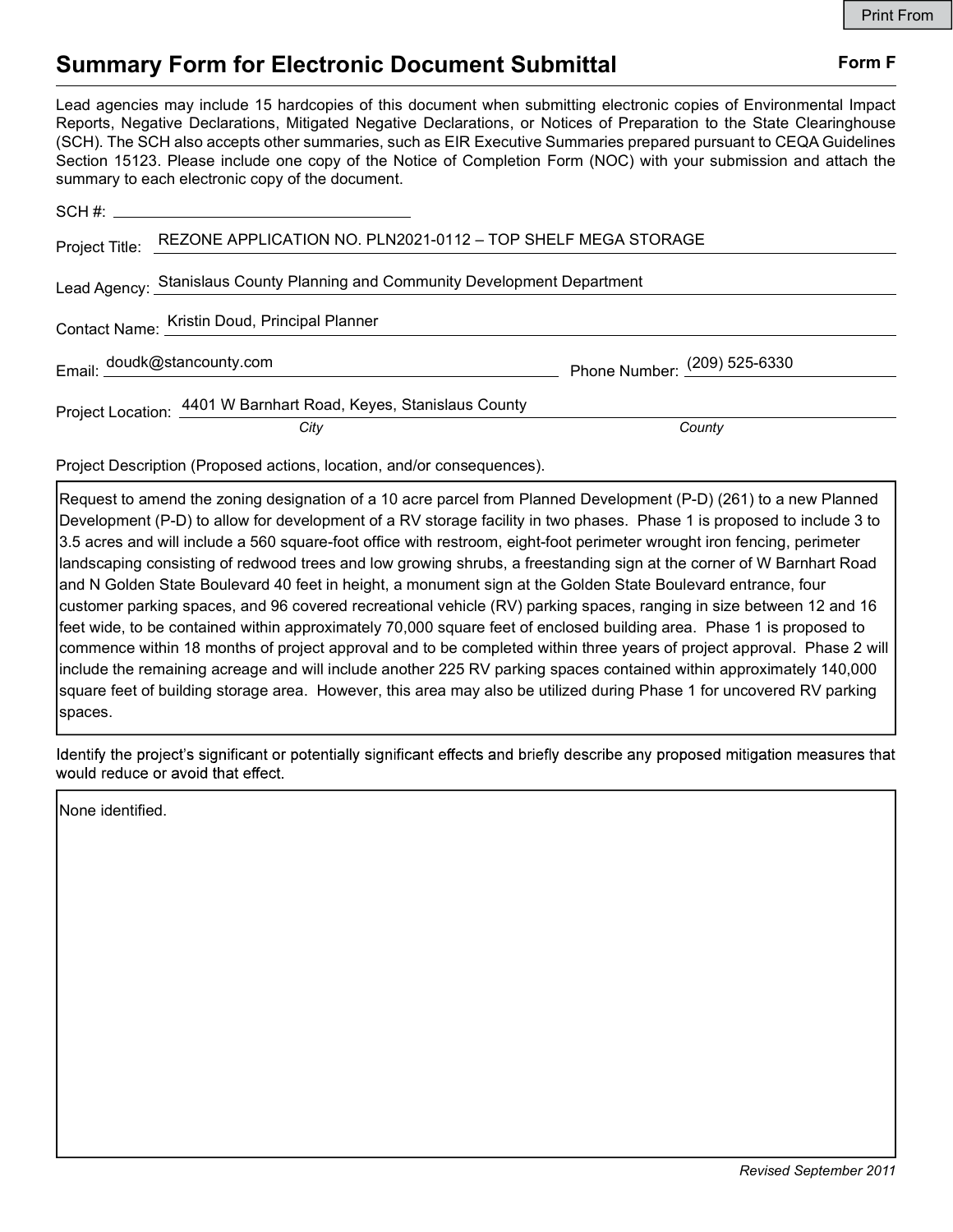## Summary Form for Electronic Document Submittal Form F

Lead agencies may include 15 hardcopies of this document when submitting electronic copies of Environmental Impact Reports, Negative Declarations, Mitigated Negative Declarations, or Notices of Preparation to the State Clearinghouse (SCH). The SCH also accepts other summaries, such as EIR Executive Summaries prepared pursuant to CEQA Guidelines Section 15123. Please include one copy of the Notice of Completion Form (NOC) with your submission and attach the summary to each electronic copy of the document.

| Project Title: REZONE APPLICATION NO. PLN2021-0112 - TOP SHELF MEGA STORAGE  |                              |
|------------------------------------------------------------------------------|------------------------------|
| Lead Agency: Stanislaus County Planning and Community Development Department |                              |
| Contact Name: Kristin Doud, Principal Planner                                |                              |
| Email: doudk@stancounty.com                                                  | Phone Number: (209) 525-6330 |
| Project Location: 4401 W Barnhart Road, Keyes, Stanislaus County<br>City     | County                       |

Project Description (Proposed actions, location, and/or consequences).

Request to amend the zoning designation of a 10 acre parcel from Planned Development (P-D) (261) to a new Planned Development (P-D) to allow for development of a RV storage facility in two phases. Phase 1 is proposed to include 3 to 3.5 acres and will include a 560 square-foot office with restroom, eight-foot perimeter wrought iron fencing, perimeter landscaping consisting of redwood trees and low growing shrubs, a freestanding sign at the corner of W Barnhart Road and N Golden State Boulevard 40 feet in height, a monument sign at the Golden State Boulevard entrance, four customer parking spaces, and 96 covered recreational vehicle (RV) parking spaces, ranging in size between 12 and 16 feet wide, to be contained within approximately 70,000 square feet of enclosed building area. Phase 1 is proposed to commence within 18 months of project approval and to be completed within three years of project approval. Phase 2 will include the remaining acreage and will include another 225 RV parking spaces contained within approximately 140,000 square feet of building storage area. However, this area may also be utilized during Phase 1 for uncovered RV parking spaces.

Identify the project's significant or potentially significant effects and briefly describe any proposed mitigation measures that would reduce or avoid that effect.

None identified.